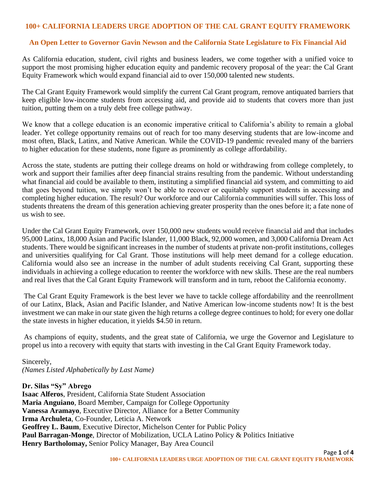## **100+ CALIFORNIA LEADERS URGE ADOPTION OF THE CAL GRANT EQUITY FRAMEWORK**

## **An Open Letter to Governor Gavin Newson and the California State Legislature to Fix Financial Aid**

As California education, student, civil rights and business leaders, we come together with a unified voice to support the most promising higher education equity and pandemic recovery proposal of the year: the Cal Grant Equity Framework which would expand financial aid to over 150,000 talented new students.

The Cal Grant Equity Framework would simplify the current Cal Grant program, remove antiquated barriers that keep eligible low-income students from accessing aid, and provide aid to students that covers more than just tuition, putting them on a truly debt free college pathway.

We know that a college education is an economic imperative critical to California's ability to remain a global leader. Yet college opportunity remains out of reach for too many deserving students that are low-income and most often, Black, Latinx, and Native American. While the COVID-19 pandemic revealed many of the barriers to higher education for these students, none figure as prominently as college affordability.

Across the state, students are putting their college dreams on hold or withdrawing from college completely, to work and support their families after deep financial strains resulting from the pandemic. Without understanding what financial aid could be available to them, instituting a simplified financial aid system, and committing to aid that goes beyond tuition, we simply won't be able to recover or equitably support students in accessing and completing higher education. The result? Our workforce and our California communities will suffer. This loss of students threatens the dream of this generation achieving greater prosperity than the ones before it; a fate none of us wish to see.

Under the Cal Grant Equity Framework, over 150,000 new students would receive financial aid and that includes 95,000 Latinx, 18,000 Asian and Pacific Islander, 11,000 Black, 92,000 women, and 3,000 California Dream Act students. There would be significant increases in the number of students at private non-profit institutions, colleges and universities qualifying for Cal Grant. Those institutions will help meet demand for a college education. California would also see an increase in the number of adult students receiving Cal Grant, supporting these individuals in achieving a college education to reenter the workforce with new skills. These are the real numbers and real lives that the Cal Grant Equity Framework will transform and in turn, reboot the California economy.

The Cal Grant Equity Framework is the best lever we have to tackle college affordability and the reenrollment of our Latinx, Black, Asian and Pacific Islander, and Native American low-income students now! It is the best investment we can make in our state given the high returns a college degree continues to hold; for every one dollar the state invests in higher education, it yields \$4.50 in return.

As champions of equity, students, and the great state of California, we urge the Governor and Legislature to propel us into a recovery with equity that starts with investing in the Cal Grant Equity Framework today.

Sincerely, *(Names Listed Alphabetically by Last Name)*

**Dr. Silas "Sy" Abrego**

**Isaac Alferos**, President, California State Student Association **Maria Anguiano**, Board Member, Campaign for College Opportunity **Vanessa Aramayo**, Executive Director, Alliance for a Better Community **Irma Archuleta**, Co-Founder, Leticia A. Network **Geoffrey L. Baum**, Executive Director, Michelson Center for Public Policy **Paul Barragan-Monge**, Director of Mobilization, UCLA Latino Policy & Politics Initiative **Henry Bartholomay,** Senior Policy Manager, Bay Area Council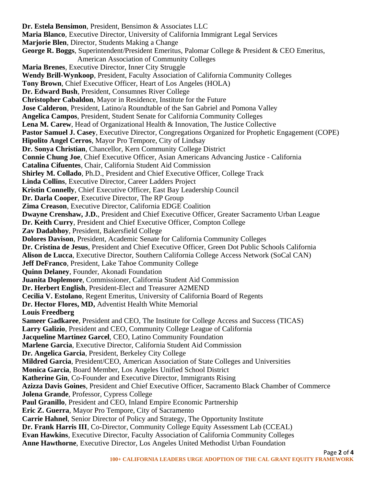**Dr. Estela Bensimon**, President, Bensimon & Associates LLC **Maria Blanco**, Executive Director, University of California Immigrant Legal Services **Marjorie Blen**, Director, Students Making a Change **George R. Boggs**, Superintendent/President Emeritus, Palomar College & President & CEO Emeritus, American Association of Community Colleges **Maria Brenes**, Executive Director, Inner City Struggle **Wendy Brill-Wynkoop**, President, Faculty Association of California Community Colleges **Tony Brown**, Chief Executive Officer, Heart of Los Angeles (HOLA) **Dr. Edward Bush**, President, Consumnes River College **Christopher Cabaldon**, Mayor in Residence, Institute for the Future **Jose Calderon**, President, Latino/a Roundtable of the San Gabriel and Pomona Valley **Angelica Campos**, President, Student Senate for California Community Colleges **Lena M. Carew**, Head of Organizational Health & Innovation, The Justice Collective **Pastor Samuel J. Casey**, Executive Director, Congregations Organized for Prophetic Engagement (COPE) **Hipolito Angel Cerros**, Mayor Pro Tempore, City of Lindsay **Dr. Sonya Christian**, Chancellor, Kern Community College District **Connie Chung Joe**, Chief Executive Officer, Asian Americans Advancing Justice - California **Catalina Cifuentes**, Chair, California Student Aid Commission **Shirley M. Collado**, Ph.D., President and Chief Executive Officer, College Track **Linda Collins**, Executive Director, Career Ladders Project **Kristin Connelly**, Chief Executive Officer, East Bay Leadership Council **Dr. Darla Cooper**, Executive Director, The RP Group **Zima Creason**, Executive Director, California EDGE Coalition **Dwayne Crenshaw, J.D.**, President and Chief Executive Officer, Greater Sacramento Urban League **Dr. Keith Curry**, President and Chief Executive Officer, Compton College **Zav Dadabhoy**, President, Bakersfield College **Dolores Davison**, President, Academic Senate for California Community Colleges **Dr. Cristina de Jesus**, President and Chief Executive Officer, Green Dot Public Schools California **Alison de Lucca**, Executive Director, Southern California College Access Network (SoCal CAN) **Jeff DeFranco**, President, Lake Tahoe Community College **Quinn Delaney**, Founder, Akonadi Foundation **Juanita Doplemore**, Commissioner, California Student Aid Commission **Dr. Herbert English**, President-Elect and Treasurer A2MEND **Cecilia V. Estolano**, Regent Emeritus, University of California Board of Regents **Dr. Hector Flores, MD,** Adventist Health White Memorial **Louis Freedberg Sameer Gadkaree**, President and CEO, The Institute for College Access and Success (TICAS) **Larry Galizio**, President and CEO, Community College League of California **Jacqueline Martinez Garcel**, CEO, Latino Community Foundation **Marlene Garcia**, Executive Director, California Student Aid Commission **Dr. Angelica Garcia**, President, Berkeley City College **Mildred Garcia**, President/CEO, American Association of State Colleges and Universities **Monica Garcia**, Board Member, Los Angeles Unified School District **Katherine Gin**, Co-Founder and Executive Director, Immigrants Rising **Azizza Davis Goines**, President and Chief Executive Officer, Sacramento Black Chamber of Commerce **Jolena Grande**, Professor, Cypress College **Paul Granillo**, President and CEO, Inland Empire Economic Partnership **Eric Z. Guerra**, Mayor Pro Tempore, City of Sacramento **Carrie Hahnel**, Senior Director of Policy and Strategy, The Opportunity Institute **Dr. Frank Harris III**, Co-Director, Community College Equity Assessment Lab (CCEAL) **Evan Hawkins**, Executive Director, Faculty Association of California Community Colleges **Anne Hawthorne**, Executive Director, Los Angeles United Methodist Urban Foundation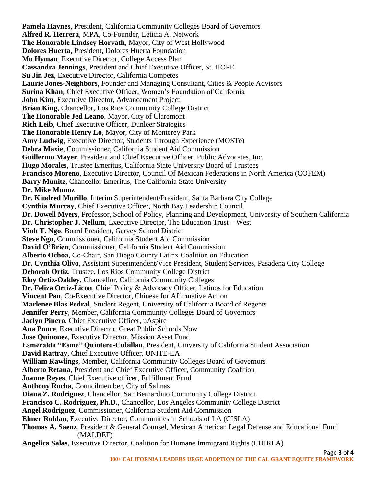**Pamela Haynes**, President, California Community Colleges Board of Governors **Alfred R. Herrera**, MPA, Co-Founder, Leticia A. Network **The Honorable Lindsey Horvath**, Mayor, City of West Hollywood **Dolores Huerta**, President, Dolores Huerta Foundation **Mo Hyman**, Executive Director, College Access Plan **Cassandra Jennings**, President and Chief Executive Officer, St. HOPE **Su Jin Jez**, Executive Director, California Competes **Laurie Jones-Neighbors**, Founder and Managing Consultant, Cities & People Advisors **Surina Khan**, Chief Executive Officer, Women's Foundation of California **John Kim, Executive Director, Advancement Project Brian King**, Chancellor, Los Rios Community College District **The Honorable Jed Leano**, Mayor, City of Claremont **Rich Leib**, Chief Executive Officer, Dunleer Strategies **The Honorable Henry Lo**, Mayor, City of Monterey Park **Amy Ludwig**, Executive Director, Students Through Experience (MOSTe) **Debra Maxie**, Commissioner, California Student Aid Commission **Guillermo Mayer**, President and Chief Executive Officer, Public Advocates, Inc. **Hugo Morales**, Trustee Emeritus, California State University Board of Trustees **Francisco Moreno**, Executive Director, Council Of Mexican Federations in North America (COFEM) **Barry Munitz**, Chancellor Emeritus, The California State University **Dr. Mike Munoz Dr. Kindred Murillo**, Interim Superintendent/President, Santa Barbara City College **Cynthia Murray**, Chief Executive Officer, North Bay Leadership Council **Dr. Dowell Myers**, Professor, School of Policy, Planning and Development, University of Southern California **Dr. Christopher J. Nellum**, Executive Director, The Education Trust – West **Vinh T. Ngo**, Board President, Garvey School District **Steve Ngo**, Commissioner, California Student Aid Commission **David O'Brien**, Commissioner, California Student Aid Commission **Alberto Ochoa**, Co-Chair, San Diego County Latinx Coalition on Education **Dr. Cynthia Olivo**, Assistant Superintendent/Vice President, Student Services, Pasadena City College **Deborah Ortiz**, Trustee, Los Rios Community College District **Eloy Ortiz-Oakley**, Chancellor, California Community Colleges **Dr. Feliza Ortiz-Licon**, Chief Policy & Advocacy Officer, Latinos for Education **Vincent Pan**, Co-Executive Director, Chinese for Affirmative Action **Marlenee Blas Pedral**, Student Regent, University of California Board of Regents **Jennifer Perry**, Member, California Community Colleges Board of Governors **Jaclyn Pinero**, Chief Executive Officer, uAspire **Ana Ponce**, Executive Director, Great Public Schools Now **Jose Quinonez**, Executive Director, Mission Asset Fund **Esmeralda "Esme" Quintero-Cubillan**, President, University of California Student Association **David Rattray**, Chief Executive Officer, UNITE-LA **William Rawlings**, Member, California Community Colleges Board of Governors **Alberto Retana**, President and Chief Executive Officer, Community Coalition **Joanne Reyes**, Chief Executive officer, Fulfillment Fund **Anthony Rocha**, Councilmember, City of Salinas **Diana Z. Rodriguez**, Chancellor, San Bernardino Community College District **Francisco C. Rodriguez, Ph.D.**, Chancellor, Los Angeles Community College District **Angel Rodriguez**, Commissioner, California Student Aid Commission **Elmer Roldan**, Executive Director, Communities in Schools of LA (CISLA) **Thomas A. Saenz**, President & General Counsel, Mexican American Legal Defense and Educational Fund (MALDEF) **Angelica Salas**, Executive Director, Coalition for Humane Immigrant Rights (CHIRLA)